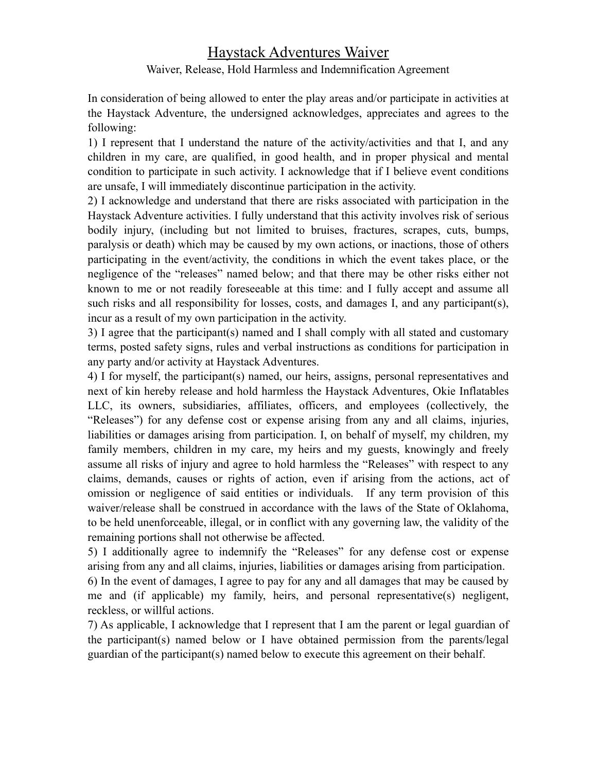## Haystack Adventures Waiver

## Waiver, Release, Hold Harmless and Indemnification Agreement

In consideration of being allowed to enter the play areas and/or participate in activities at the Haystack Adventure, the undersigned acknowledges, appreciates and agrees to the following:

1) I represent that I understand the nature of the activity/activities and that I, and any children in my care, are qualified, in good health, and in proper physical and mental condition to participate in such activity. I acknowledge that if I believe event conditions are unsafe, I will immediately discontinue participation in the activity.

2) I acknowledge and understand that there are risks associated with participation in the Haystack Adventure activities. I fully understand that this activity involves risk of serious bodily injury, (including but not limited to bruises, fractures, scrapes, cuts, bumps, paralysis or death) which may be caused by my own actions, or inactions, those of others participating in the event/activity, the conditions in which the event takes place, or the negligence of the "releases" named below; and that there may be other risks either not known to me or not readily foreseeable at this time: and I fully accept and assume all such risks and all responsibility for losses, costs, and damages I, and any participant(s), incur as a result of my own participation in the activity.

3) I agree that the participant(s) named and I shall comply with all stated and customary terms, posted safety signs, rules and verbal instructions as conditions for participation in any party and/or activity at Haystack Adventures.

4) I for myself, the participant(s) named, our heirs, assigns, personal representatives and next of kin hereby release and hold harmless the Haystack Adventures, Okie Inflatables LLC, its owners, subsidiaries, affiliates, officers, and employees (collectively, the "Releases") for any defense cost or expense arising from any and all claims, injuries, liabilities or damages arising from participation. I, on behalf of myself, my children, my family members, children in my care, my heirs and my guests, knowingly and freely assume all risks of injury and agree to hold harmless the "Releases" with respect to any claims, demands, causes or rights of action, even if arising from the actions, act of omission or negligence of said entities or individuals. If any term provision of this waiver/release shall be construed in accordance with the laws of the State of Oklahoma, to be held unenforceable, illegal, or in conflict with any governing law, the validity of the remaining portions shall not otherwise be affected.

5) I additionally agree to indemnify the "Releases" for any defense cost or expense arising from any and all claims, injuries, liabilities or damages arising from participation. 6) In the event of damages, I agree to pay for any and all damages that may be caused by me and (if applicable) my family, heirs, and personal representative(s) negligent, reckless, or willful actions.

7) As applicable, I acknowledge that I represent that I am the parent or legal guardian of the participant(s) named below or I have obtained permission from the parents/legal guardian of the participant(s) named below to execute this agreement on their behalf.